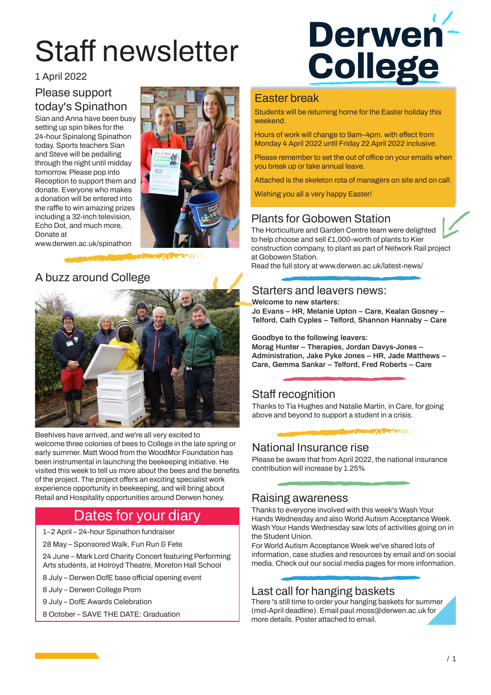# Staff newsletter

1 April 2022

#### Please support today's Spinathon

Sian and Anna have been busy setting up spin bikes for the 24-hour Spinalong Spinathon today. Sports teachers Sian and Steve will be pedalling through the night until midday tomorrow. Please pop into Reception to support them and donate. Everyone who makes a donation will be entered into the raffle to win amazing prizes including a 32-inch television, Echo Dot, and much more. Donate at



www.derwen.ac.uk/spinathon

#### A buzz around College



Beehives have arrived, and we're all very excited to welcome three colonies of bees to College in the late spring or early summer. Matt Wood from the WoodMor Foundation has been instrumental in launching the beekeeping initiative. He visited this week to tell us more about the bees and the benefits of the project. The project offers an exciting specialist work experience opportunity in beekeeping, and will bring about Retail and Hospitality opportunities around Derwen honey.

## Dates for your diary

- 1–2 April 24-hour Spinathon fundraiser
- 28 May Sponsored Walk, Fun Run & Fete

24 June – Mark Lord Charity Concert featuring Performing Arts students, at Holroyd Theatre, Moreton Hall School

- 8 July Derwen DofE base official opening event
- 8 July Derwen College Prom
- 9 July DofE Awards Celebration
- 8 October SAVE THE DATE: Graduation



#### Easter break

Students will be returning home for the Easter holiday this weekend.

Hours of work will change to 9am–4pm. with effect from Monday 4 April 2022 until Friday 22 April 2022 inclusive.

Please remember to set the out of office on your emails when you break up or take annual leave.

Attached is the skeleton rota of managers on site and on call.

Wishing you all a very happy Easter!

#### Plants for Gobowen Station

The Horticulture and Garden Centre team were delighted to help choose and sell £1,000-worth of plants to Kier construction company, to plant as part of Network Rail project at Gobowen Station.

Read the full story at www.derwen.ac.uk/latest-news/

#### Starters and leavers news:

**Welcome to new starters:**

**Jo Evans – HR, Melanie Upton – Care, Kealan Gosney – Telford, Cath Cyples – Telford, Shannon Hannaby – Care**

**Goodbye to the following leavers:**

**Morag Hunter – Therapies, Jordan Davys-Jones – Administration, Jake Pyke Jones – HR, Jade Matthews – Care, Gemma Sankar – Telford, Fred Roberts – Care**

#### Staff recognition

Thanks to Tia Hughes and Natalie Martin, in Care, for going above and beyond to support a student in a crisis.

**DAMAGE A CONSTRUCTION** 

## National Insurance rise

Please be aware that from April 2022, the national insurance contribution will increase by 1.25%

#### Raising awareness

Thanks to everyone involved with this week's Wash Your Hands Wednesday and also World Autism Acceptance Week. Wash Your Hands Wednesday saw lots of activities going on in the Student Union.

For World Autism Acceptance Week we've shared lots of information, case studies and resources by email and on social media. Check out our social media pages for more information.

### Last call for hanging baskets

There 's still time to order your hanging baskets for summer (mid-April deadline). Email paul.moss@derwen.ac.uk for more details. Poster attached to email.